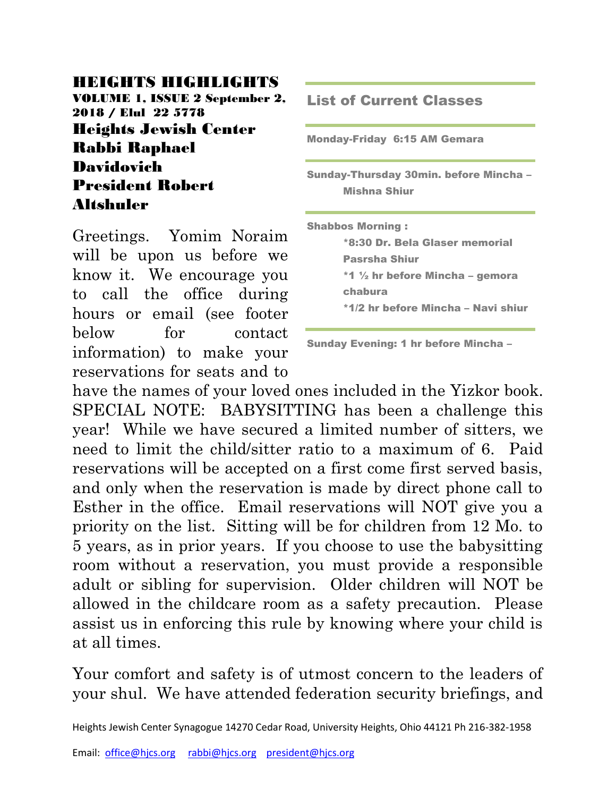### HEIGHTS HIGHLIGHTS

VOLUME 1, ISSUE 2 September 2, 2018 / Elul 22 5778 Heights Jewish Center Rabbi Raphael Davidovich President Robert Altshuler

Greetings. Yomim Noraim will be upon us before we know it. We encourage you to call the office during hours or email (see footer below for contact information) to make your reservations for seats and to

List of Current Classes Monday-Friday 6:15 AM Gemara Sunday-Thursday 30min. before Mincha – Mishna Shiur Shabbos Morning : \*8:30 Dr. Bela Glaser memorial Pasrsha Shiur \*1 ½ hr before Mincha – gemora chabura \*1/2 hr before Mincha – Navi shiur

Sunday Evening: 1 hr before Mincha –

have the names of your loved ones included in the Yizkor book. SPECIAL NOTE: BABYSITTING has been a challenge this year! While we have secured a limited number of sitters, we need to limit the child/sitter ratio to a maximum of 6. Paid reservations will be accepted on a first come first served basis, and only when the reservation is made by direct phone call to Esther in the office. Email reservations will NOT give you a priority on the list. Sitting will be for children from 12 Mo. to 5 years, as in prior years. If you choose to use the babysitting room without a reservation, you must provide a responsible adult or sibling for supervision. Older children will NOT be allowed in the childcare room as a safety precaution. Please assist us in enforcing this rule by knowing where your child is at all times.

Your comfort and safety is of utmost concern to the leaders of your shul. We have attended federation security briefings, and

Heights Jewish Center Synagogue 14270 Cedar Road, University Heights, Ohio 44121 Ph 216-382-1958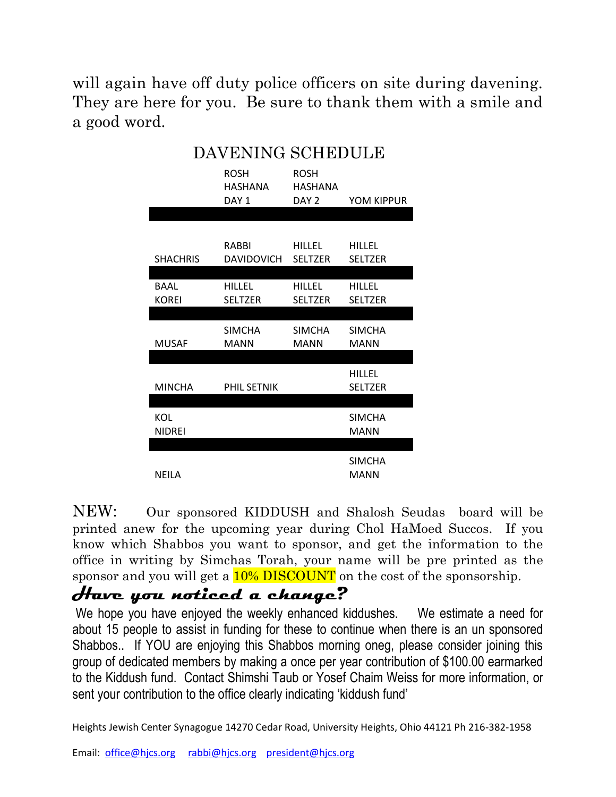will again have off duty police officers on site during davening. They are here for you. Be sure to thank them with a smile and a good word.

| DAVENING SCHEDULE    |                                            |                                                   |                                 |
|----------------------|--------------------------------------------|---------------------------------------------------|---------------------------------|
|                      | <b>ROSH</b><br>HASHANA<br>DAY <sub>1</sub> | <b>ROSH</b><br><b>HASHANA</b><br>DAY <sub>2</sub> | YOM KIPPUR                      |
|                      |                                            |                                                   |                                 |
| <b>SHACHRIS</b>      | RABBI<br><b>DAVIDOVICH</b>                 | HILLEL<br><b>SELTZER</b>                          | <b>HILLEL</b><br><b>SELTZER</b> |
| BAAL<br><b>KOREI</b> | <b>HILLEL</b><br><b>SELTZER</b>            | <b>HILLEL</b><br><b>SELTZER</b>                   | <b>HILLEL</b><br><b>SELTZER</b> |
|                      |                                            |                                                   |                                 |
| <b>MUSAF</b>         | <b>SIMCHA</b><br>MANN                      | <b>SIMCHA</b><br><b>MANN</b>                      | <b>SIMCHA</b><br><b>MANN</b>    |
|                      |                                            |                                                   | <b>HILLEL</b>                   |
| <b>MINCHA</b>        | PHIL SETNIK                                |                                                   | <b>SELTZER</b>                  |
| KOL<br><b>NIDREI</b> |                                            |                                                   | <b>SIMCHA</b><br><b>MANN</b>    |
|                      |                                            |                                                   |                                 |
| <b>NEILA</b>         |                                            |                                                   | <b>SIMCHA</b><br>MANN           |

#### NEW: Our sponsored KIDDUSH and Shalosh Seudas board will be printed anew for the upcoming year during Chol HaMoed Succos. If you know which Shabbos you want to sponsor, and get the information to the office in writing by Simchas Torah, your name will be pre printed as the sponsor and you will get a  $10\%$  DISCOUNT on the cost of the sponsorship.

## **Have you noticed a change?**

We hope you have enjoyed the weekly enhanced kiddushes. We estimate a need for about 15 people to assist in funding for these to continue when there is an un sponsored Shabbos.. If YOU are enjoying this Shabbos morning oneg, please consider joining this group of dedicated members by making a once per year contribution of \$100.00 earmarked to the Kiddush fund. Contact Shimshi Taub or Yosef Chaim Weiss for more information, or sent your contribution to the office clearly indicating 'kiddush fund'

Heights Jewish Center Synagogue 14270 Cedar Road, University Heights, Ohio 44121 Ph 216-382-1958